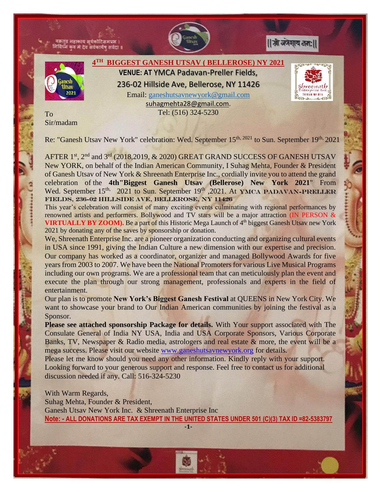काय सर्वकोटिस





**SUITAG MEILLA** 



**4 TH BIGGEST GANESH UTSAV ( BELLEROSE) NY 2021 VENUE: AT** YMCA Padavan-Preller Fields, 236-02 Hillside Ave, Bellerose, NY 11426 Email: [ganeshutsavnewyork@gmail.com](mailto:ganeshutsavnewyork@gmail.com)  [suhagmehta28@gmail.com.](mailto:suhagmehta28@gmail.com)

Tel: (516) 324-5230

To Sir/madam

Re: "Ganesh Utsav New York" celebration: Wed. September 15<sup>th, 2021</sup> to Sun. September 19<sup>th,</sup> 2021

AFTER 1<sup>st</sup>, 2<sup>nd</sup> and 3<sup>rd</sup> (2018,2019, & 2020) GREAT GRAND SUCCESS OF GANESH UTSAV New YORK, on behalf of the Indian American Community, I Suhag Mehta, Founder & President of Ganesh Utsav of New York & Shreenath Enterprise Inc., cordially invite you to attend the grand celebration of the **4th"Biggest Ganesh Utsav (Bellerose) New York 2021**" From Wed. September 15<sup>th,</sup> 2021 to Sun. September 19<sup>th</sup>, 2021. At YMCA PADAVAN-PRELLER Fields, 236-02 Hillside Ave, Bellerose, NY 11426

This year's celebration will consist of many exciting events culminating with regional performances by renowned artists and performers. Bollywood and TV stars will be a major attraction (IN PERSON & **VIRTUALLY BY ZOOM).** Be a part of this Historic Mega Launch of 4<sup>th</sup> biggest Ganesh Utsav new York 2021 by donating any of the saves by sponsorship or donation.

We, Shreenath Enterprise Inc. are a pioneer organization conducting and organizing cultural events in USA since 1991, giving the Indian Culture a new dimension with our expertise and precision. Our company has worked as a coordinator, organizer and managed Bollywood Awards for five years from 2003 to 2007. We have been the National Promoters for various Live Musical Programs including our own programs. We are a professional team that can meticulously plan the event and execute the plan through our strong management, professionals and experts in the field of entertainment.

Our plan is to promote **New York's Biggest Ganesh Festival** at QUEENS in New York City. We want to showcase your brand to Our Indian American communities by joining the festival as a Sponsor.

**Please see attached sponsorship Package for details.** With Your support associated with The Consulate General of India NY USA, India and USA Corporate Sponsors, Various Corporate Banks, TV, Newspaper & Radio media, astrologers and real estate & more, the event will be a mega success. Please visit our website [www.ganeshutsavnewyork.org](http://www.ganeshutsavnewyork.org/) for details.

Please let me know should you need any other information. Kindly reply with your support. Looking forward to your generous support and response. Feel free to contact us for additional discussion needed if any. Call: 516-324-5230

With Warm Regards, Suhag Mehta, Founder & President, Ganesh Utsav New York Inc. & Shreenath Enterprise Inc **Note: - ALL DONATIONS ARE TAX EXEMPT IN THE UNITED STATES UNDER 501 (C)(3) TAX ID =82-5383797**

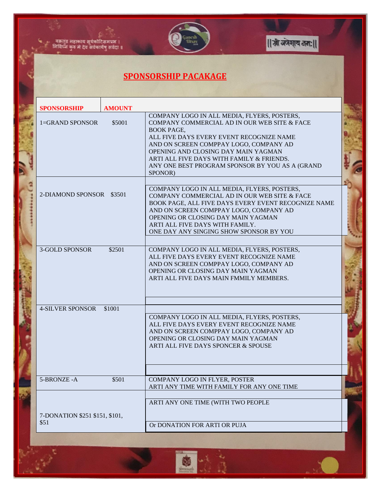

## **SPONSORSHIP PACAKAGE**

्<br>वक्रतुंड महाकाय सूर्यकोटिसमप्रभ ।<br>निविध्नं कुरु मे देव सर्वकार्येषु सर्वदा ॥

| <b>SPONSORSHIP</b><br><b>AMOUNT</b>    |                                                                                                                                                                                                                                                                                                                                                          |  |
|----------------------------------------|----------------------------------------------------------------------------------------------------------------------------------------------------------------------------------------------------------------------------------------------------------------------------------------------------------------------------------------------------------|--|
| 1=GRAND SPONSOR<br>\$5001              | COMPANY LOGO IN ALL MEDIA, FLYERS, POSTERS,<br>COMPANY COMMERCIAL AD IN OUR WEB SITE & FACE<br><b>BOOK PAGE,</b><br>ALL FIVE DAYS EVERY EVENT RECOGNIZE NAME<br>AND ON SCREEN COMPPAY LOGO, COMPANY AD<br>OPENING AND CLOSING DAY MAIN YAGMAN<br>ARTI ALL FIVE DAYS WITH FAMILY & FRIENDS.<br>ANY ONE BEST PROGRAM SPONSOR BY YOU AS A (GRAND<br>SPONOR) |  |
| 2-DIAMOND SPONSOR \$3501               | COMPANY LOGO IN ALL MEDIA, FLYERS, POSTERS,<br>COMPANY COMMERCIAL AD IN OUR WEB SITE & FACE<br>BOOK PAGE, ALL FIVE DAYS EVERY EVENT RECOGNIZE NAME<br>AND ON SCREEN COMPPAY LOGO, COMPANY AD<br>OPENING OR CLOSING DAY MAIN YAGMAN<br>ARTI ALL FIVE DAYS WITH FAMILY.<br>ONE DAY ANY SINGING SHOW SPONSOR BY YOU                                         |  |
| <b>3-GOLD SPONSOR</b><br>\$2501        | COMPANY LOGO IN ALL MEDIA, FLYERS, POSTERS,<br>ALL FIVE DAYS EVERY EVENT RECOGNIZE NAME<br>AND ON SCREEN COMPPAY LOGO, COMPANY AD<br>OPENING OR CLOSING DAY MAIN YAGMAN<br>ARTI ALL FIVE DAYS MAIN FMMILY MEMBERS.                                                                                                                                       |  |
| <b>4-SILVER SPONSOR</b><br>\$1001      | COMPANY LOGO IN ALL MEDIA, FLYERS, POSTERS,<br>ALL FIVE DAYS EVERY EVENT RECOGNIZE NAME<br>AND ON SCREEN COMPPAY LOGO, COMPANY AD<br>OPENING OR CLOSING DAY MAIN YAGMAN<br>ARTI ALL FIVE DAYS SPONCER & SPOUSE                                                                                                                                           |  |
| 5-BRONZE-A<br>\$501                    | COMPANY LOGO IN FLYER, POSTER<br>ARTI ANY TIME WITH FAMILY FOR ANY ONE TIME                                                                                                                                                                                                                                                                              |  |
| 7-DONATION \$251 \$151, \$101,<br>\$51 | ARTI ANY ONE TIME (WITH TWO PEOPLE<br>Or DONATION FOR ARTI OR PUJA                                                                                                                                                                                                                                                                                       |  |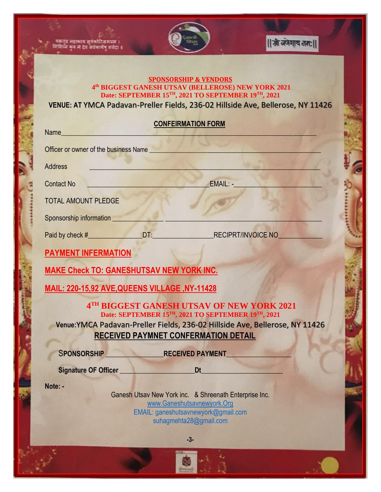

काय सर्यकोटिसमप्रभ देव सर्वकार्येषु सर्वदा । || श्री अंगेशाय तता: ||

## **SPONSORSHIP & VENDORS 4 th BIGGEST GANESH UTSAV (BELLEROSE) NEW YORK 2021 Date: SEPTEMBER 15TH, 2021 TO SEPTEMBER 19TH, 2021**

**VENUE: AT** YMCA Padavan-Preller Fields, 236-02 Hillside Ave, Bellerose, NY 11426

| <b>CONFEIRMATION FORM</b> |
|---------------------------|
|                           |

| Name and the state of the state of the state of the state of the state of the state of the state of the state of the state of the state of the state of the state of the state of the state of the state of the state of the s                           |  |  |  |  |
|----------------------------------------------------------------------------------------------------------------------------------------------------------------------------------------------------------------------------------------------------------|--|--|--|--|
| Officer or owner of the business Name <b>contract of the contract of the business</b> Name                                                                                                                                                               |  |  |  |  |
| <b>Address</b>                                                                                                                                                                                                                                           |  |  |  |  |
| <b>EMAIL:</b> And the state of the state of the state of the state of the state of the state of the state of the state of the state of the state of the state of the state of the state of the state of the state of the state of t<br><b>Contact No</b> |  |  |  |  |
| <b>TOTAL AMOUNT PLEDGE</b>                                                                                                                                                                                                                               |  |  |  |  |
| Sponsorship information <b>Sponsorship information</b>                                                                                                                                                                                                   |  |  |  |  |
|                                                                                                                                                                                                                                                          |  |  |  |  |
| <b>PAYMENT INFERMATION</b>                                                                                                                                                                                                                               |  |  |  |  |
| <b>MAKE Check TO: GANESHUTSAV NEW YORK INC.</b>                                                                                                                                                                                                          |  |  |  |  |
| MAIL: 220-15,92 AVE, QUEENS VILLAGE, NY-11428                                                                                                                                                                                                            |  |  |  |  |
| 4TH BIGGEST GANESH UTSAV OF NEW YORK 2021                                                                                                                                                                                                                |  |  |  |  |
| Date: SEPTEMBER 15TH, 2021 TO SEPTEMBER 19TH, 2021<br>Venue: YMCA Padavan-Preller Fields, 236-02 Hillside Ave, Bellerose, NY 11426                                                                                                                       |  |  |  |  |
| <b>RECEIVED PAYMNET CONFERMATION DETAIL</b>                                                                                                                                                                                                              |  |  |  |  |
| SPONSORSHIP RECEIVED PAYMENT                                                                                                                                                                                                                             |  |  |  |  |
| Signature OF Officer <b>Exercise Default COVID-10</b>                                                                                                                                                                                                    |  |  |  |  |
| Note: -<br>Ganesh Utsav New York inc. & Shreenath Enterprise Inc.                                                                                                                                                                                        |  |  |  |  |
| www.Ganeshutsavnewyork.Org<br>EMAIL: ganeshutsavnewyork@gmail.com                                                                                                                                                                                        |  |  |  |  |
| suhagmehta28@gmail.com                                                                                                                                                                                                                                   |  |  |  |  |
| $-3-$                                                                                                                                                                                                                                                    |  |  |  |  |
|                                                                                                                                                                                                                                                          |  |  |  |  |